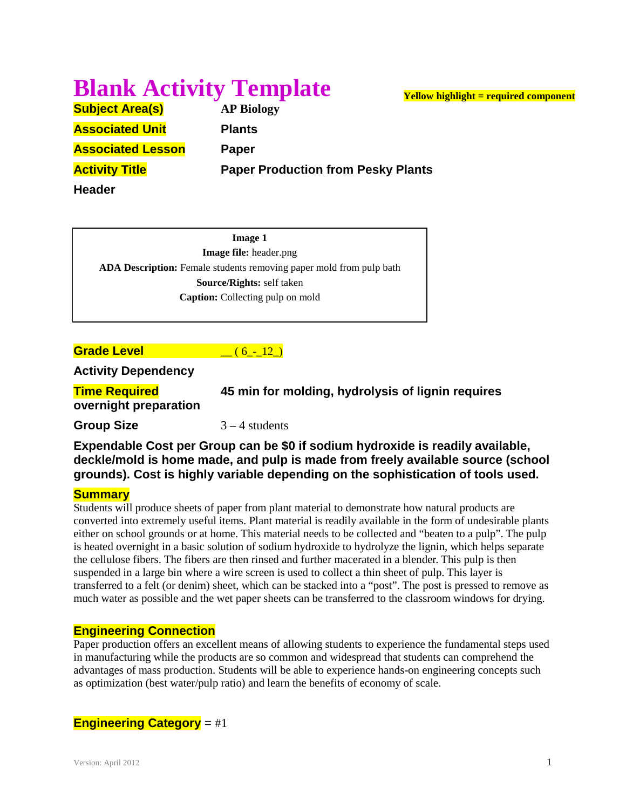# **Blank Activity Template**

**Subject Area(s) AP Biology Associated Unit Plants Associated Lesson Paper**

**Activity Title Paper Production from Pesky Plants**

**Header**

**Image 1 Image file:** header.png **ADA Description:** Female students removing paper mold from pulp bath **Source/Rights:** self taken **Caption:** Collecting pulp on mold

**Grade Level Contract (6 - 12)** 

**Activity Dependency**

**Time Required 45 min for molding, hydrolysis of lignin requires overnight preparation**

**Group Size**  $3 - 4$  students

**Expendable Cost per Group can be \$0 if sodium hydroxide is readily available, deckle/mold is home made, and pulp is made from freely available source (school grounds). Cost is highly variable depending on the sophistication of tools used.**

#### **Summary**

Students will produce sheets of paper from plant material to demonstrate how natural products are converted into extremely useful items. Plant material is readily available in the form of undesirable plants either on school grounds or at home. This material needs to be collected and "beaten to a pulp". The pulp is heated overnight in a basic solution of sodium hydroxide to hydrolyze the lignin, which helps separate the cellulose fibers. The fibers are then rinsed and further macerated in a blender. This pulp is then suspended in a large bin where a wire screen is used to collect a thin sheet of pulp. This layer is transferred to a felt (or denim) sheet, which can be stacked into a "post". The post is pressed to remove as much water as possible and the wet paper sheets can be transferred to the classroom windows for drying.

## **Engineering Connection**

Paper production offers an excellent means of allowing students to experience the fundamental steps used in manufacturing while the products are so common and widespread that students can comprehend the advantages of mass production. Students will be able to experience hands-on engineering concepts such as optimization (best water/pulp ratio) and learn the benefits of economy of scale.

## **Engineering Category** = #1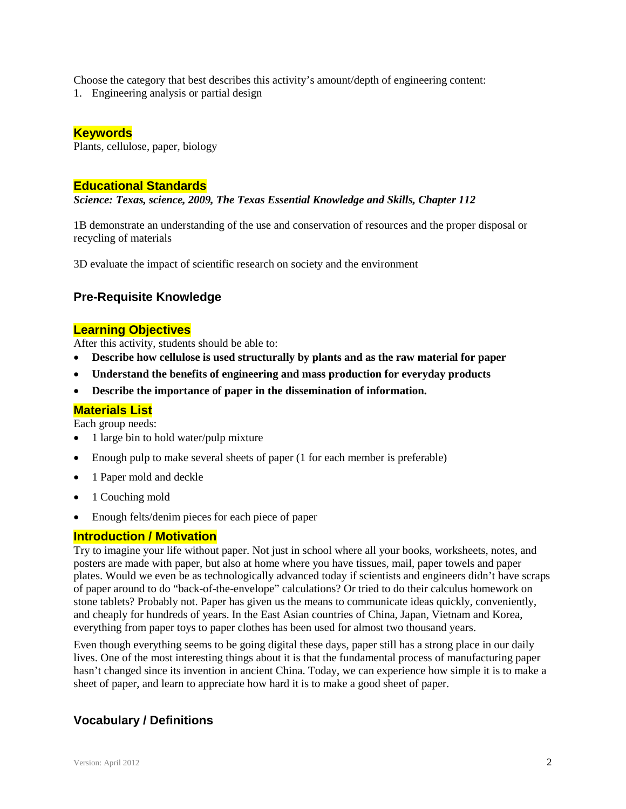Choose the category that best describes this activity's amount/depth of engineering content:

1. Engineering analysis or partial design

### **Keywords**

Plants, cellulose, paper, biology

#### **Educational Standards**

*Science: Texas, science, 2009, The Texas Essential Knowledge and Skills, Chapter 112*

1B demonstrate an understanding of the use and conservation of resources and the proper disposal or recycling of materials

3D evaluate the impact of scientific research on society and the environment

# **Pre-Requisite Knowledge**

#### **Learning Objectives**

After this activity, students should be able to:

- **Describe how cellulose is used structurally by plants and as the raw material for paper**
- **Understand the benefits of engineering and mass production for everyday products**
- **Describe the importance of paper in the dissemination of information.**

#### **Materials List**

Each group needs:

- 1 large bin to hold water/pulp mixture
- Enough pulp to make several sheets of paper (1 for each member is preferable)
- 1 Paper mold and deckle
- 1 Couching mold
- Enough felts/denim pieces for each piece of paper

#### **Introduction / Motivation**

Try to imagine your life without paper. Not just in school where all your books, worksheets, notes, and posters are made with paper, but also at home where you have tissues, mail, paper towels and paper plates. Would we even be as technologically advanced today if scientists and engineers didn't have scraps of paper around to do "back-of-the-envelope" calculations? Or tried to do their calculus homework on stone tablets? Probably not. Paper has given us the means to communicate ideas quickly, conveniently, and cheaply for hundreds of years. In the East Asian countries of China, Japan, Vietnam and Korea, everything from paper toys to paper clothes has been used for almost two thousand years.

Even though everything seems to be going digital these days, paper still has a strong place in our daily lives. One of the most interesting things about it is that the fundamental process of manufacturing paper hasn't changed since its invention in ancient China. Today, we can experience how simple it is to make a sheet of paper, and learn to appreciate how hard it is to make a good sheet of paper.

# **Vocabulary / Definitions**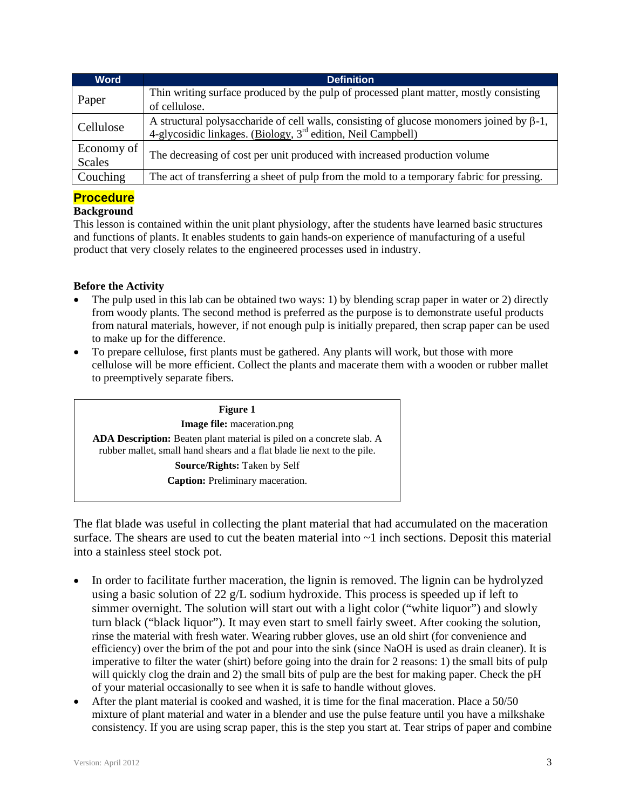| <b>Word</b>   | <b>Definition</b>                                                                                                                                                           |
|---------------|-----------------------------------------------------------------------------------------------------------------------------------------------------------------------------|
| Paper         | Thin writing surface produced by the pulp of processed plant matter, mostly consisting<br>of cellulose.                                                                     |
|               |                                                                                                                                                                             |
| Cellulose     | A structural polysaccharide of cell walls, consisting of glucose monomers joined by $\beta$ -1,<br>4-glycosidic linkages. (Biology, 3 <sup>rd</sup> edition, Neil Campbell) |
| Economy of    | The decreasing of cost per unit produced with increased production volume                                                                                                   |
| <b>Scales</b> |                                                                                                                                                                             |
| Couching      | The act of transferring a sheet of pulp from the mold to a temporary fabric for pressing.                                                                                   |

# **Procedure**

#### **Background**

This lesson is contained within the unit plant physiology, after the students have learned basic structures and functions of plants. It enables students to gain hands-on experience of manufacturing of a useful product that very closely relates to the engineered processes used in industry.

#### **Before the Activity**

- The pulp used in this lab can be obtained two ways: 1) by blending scrap paper in water or 2) directly from woody plants. The second method is preferred as the purpose is to demonstrate useful products from natural materials, however, if not enough pulp is initially prepared, then scrap paper can be used to make up for the difference.
- To prepare cellulose, first plants must be gathered. Any plants will work, but those with more cellulose will be more efficient. Collect the plants and macerate them with a wooden or rubber mallet to preemptively separate fibers.



The flat blade was useful in collecting the plant material that had accumulated on the maceration surface. The shears are used to cut the beaten material into  $\sim$ 1 inch sections. Deposit this material into a stainless steel stock pot.

- In order to facilitate further maceration, the lignin is removed. The lignin can be hydrolyzed using a basic solution of 22 g/L sodium hydroxide. This process is speeded up if left to simmer overnight. The solution will start out with a light color ("white liquor") and slowly turn black ("black liquor"). It may even start to smell fairly sweet. After cooking the solution, rinse the material with fresh water. Wearing rubber gloves, use an old shirt (for convenience and efficiency) over the brim of the pot and pour into the sink (since NaOH is used as drain cleaner). It is imperative to filter the water (shirt) before going into the drain for 2 reasons: 1) the small bits of pulp will quickly clog the drain and 2) the small bits of pulp are the best for making paper. Check the pH of your material occasionally to see when it is safe to handle without gloves.
- After the plant material is cooked and washed, it is time for the final maceration. Place a 50/50 mixture of plant material and water in a blender and use the pulse feature until you have a milkshake consistency. If you are using scrap paper, this is the step you start at. Tear strips of paper and combine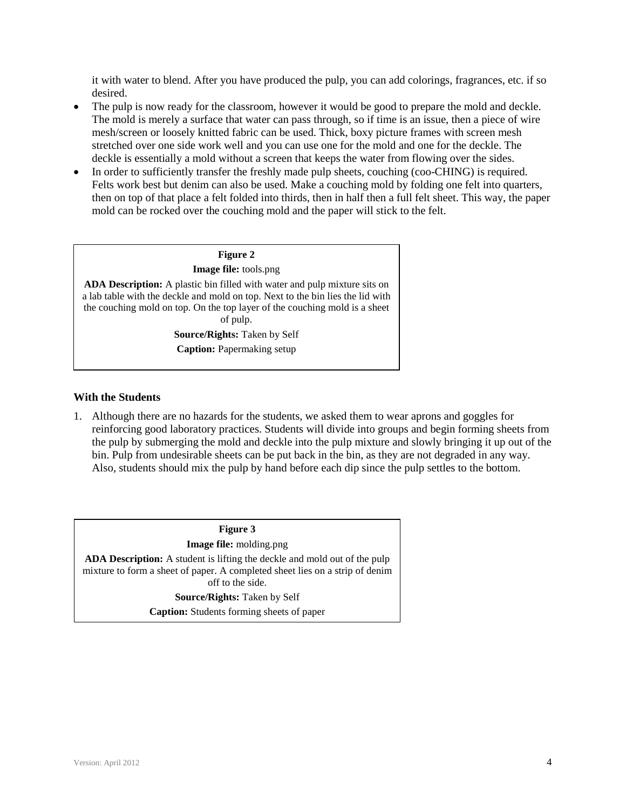it with water to blend. After you have produced the pulp, you can add colorings, fragrances, etc. if so desired.

- The pulp is now ready for the classroom, however it would be good to prepare the mold and deckle. The mold is merely a surface that water can pass through, so if time is an issue, then a piece of wire mesh/screen or loosely knitted fabric can be used. Thick, boxy picture frames with screen mesh stretched over one side work well and you can use one for the mold and one for the deckle. The deckle is essentially a mold without a screen that keeps the water from flowing over the sides.
- In order to sufficiently transfer the freshly made pulp sheets, couching (coo-CHING) is required. Felts work best but denim can also be used. Make a couching mold by folding one felt into quarters, then on top of that place a felt folded into thirds, then in half then a full felt sheet. This way, the paper mold can be rocked over the couching mold and the paper will stick to the felt.



#### **With the Students**

1. Although there are no hazards for the students, we asked them to wear aprons and goggles for reinforcing good laboratory practices. Students will divide into groups and begin forming sheets from the pulp by submerging the mold and deckle into the pulp mixture and slowly bringing it up out of the bin. Pulp from undesirable sheets can be put back in the bin, as they are not degraded in any way. Also, students should mix the pulp by hand before each dip since the pulp settles to the bottom.

**Figure 3 Image file:** molding.png **ADA Description:** A student is lifting the deckle and mold out of the pulp mixture to form a sheet of paper. A completed sheet lies on a strip of denim off to the side. **Source/Rights:** Taken by Self **Caption:** Students forming sheets of paper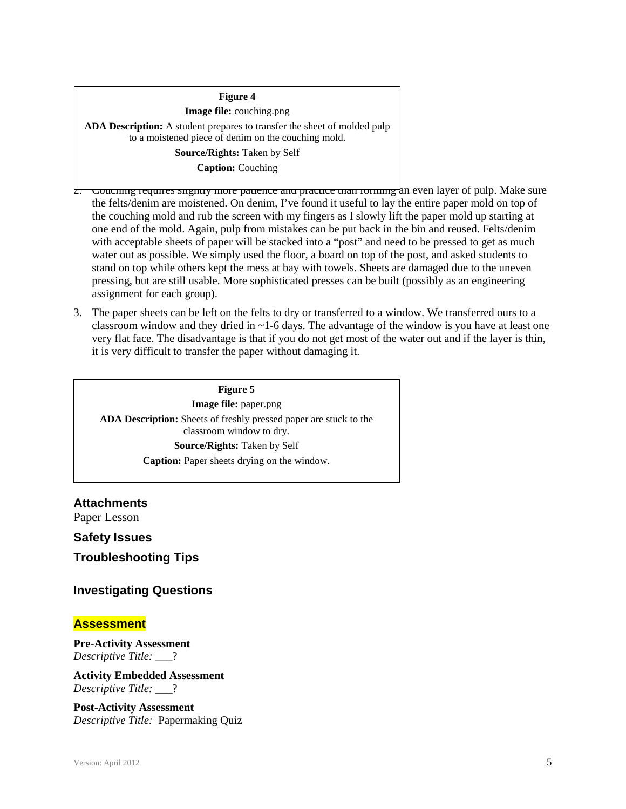## **Figure 4 Image file:** couching.png **ADA Description:** A student prepares to transfer the sheet of molded pulp to a moistened piece of denim on the couching mold. **Source/Rights:** Taken by Self **Caption:** Couching

Couching requires slightly more patience and practice than forming an even layer of pulp. Make sure the felts/denim are moistened. On denim, I've found it useful to lay the entire paper mold on top of the couching mold and rub the screen with my fingers as I slowly lift the paper mold up starting at one end of the mold. Again, pulp from mistakes can be put back in the bin and reused. Felts/denim with acceptable sheets of paper will be stacked into a "post" and need to be pressed to get as much water out as possible. We simply used the floor, a board on top of the post, and asked students to stand on top while others kept the mess at bay with towels. Sheets are damaged due to the uneven pressing, but are still usable. More sophisticated presses can be built (possibly as an engineering assignment for each group).

3. The paper sheets can be left on the felts to dry or transferred to a window. We transferred ours to a classroom window and they dried in  $\sim$  1-6 days. The advantage of the window is you have at least one very flat face. The disadvantage is that if you do not get most of the water out and if the layer is thin, it is very difficult to transfer the paper without damaging it.

**Figure 5 Image file:** paper.png **ADA Description:** Sheets of freshly pressed paper are stuck to the classroom window to dry. **Source/Rights:** Taken by Self **Caption:** Paper sheets drying on the window.

**Attachments** Paper Lesson

**Safety Issues**

**Troubleshooting Tips**

### **Investigating Questions**

#### **Assessment**

**Pre-Activity Assessment** *Descriptive Title:* \_\_\_?

**Activity Embedded Assessment** *Descriptive Title:* \_\_\_?

**Post-Activity Assessment** *Descriptive Title:* Papermaking Quiz